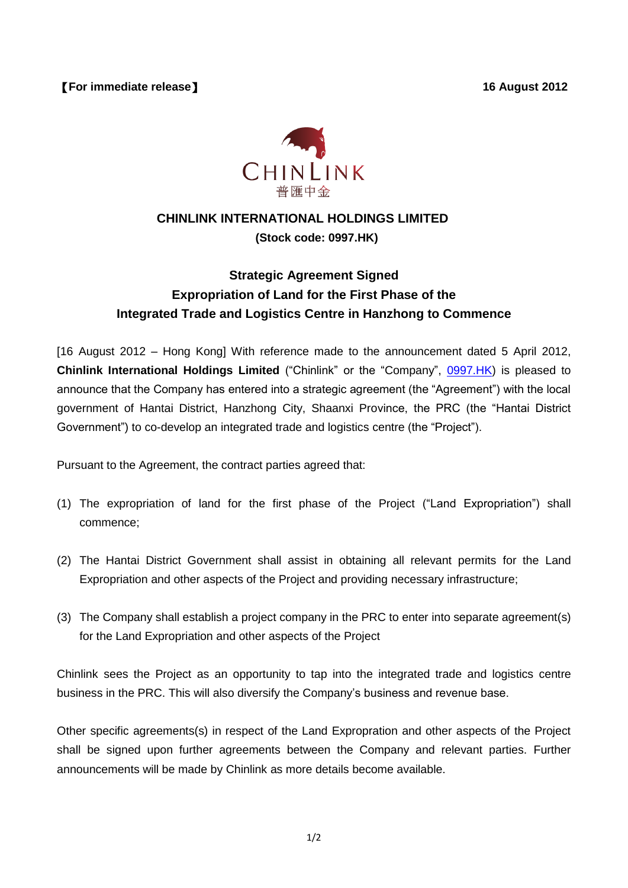

## **CHINLINK INTERNATIONAL HOLDINGS LIMITED**

**(Stock code: 0997.HK)**

## **Strategic Agreement Signed Expropriation of Land for the First Phase of the Integrated Trade and Logistics Centre in Hanzhong to Commence**

[16 August 2012 – Hong Kong] With reference made to the announcement dated 5 April 2012, **Chinlink International Holdings Limited** ("Chinlink" or the "Company", [0997.HK\)](http://0997.hk/) is pleased to announce that the Company has entered into a strategic agreement (the "Agreement") with the local government of Hantai District, Hanzhong City, Shaanxi Province, the PRC (the "Hantai District Government") to co-develop an integrated trade and logistics centre (the "Project").

Pursuant to the Agreement, the contract parties agreed that:

- (1) The expropriation of land for the first phase of the Project ("Land Expropriation") shall commence;
- (2) The Hantai District Government shall assist in obtaining all relevant permits for the Land Expropriation and other aspects of the Project and providing necessary infrastructure;
- (3) The Company shall establish a project company in the PRC to enter into separate agreement(s) for the Land Expropriation and other aspects of the Project

Chinlink sees the Project as an opportunity to tap into the integrated trade and logistics centre business in the PRC. This will also diversify the Company's business and revenue base.

Other specific agreements(s) in respect of the Land Expropration and other aspects of the Project shall be signed upon further agreements between the Company and relevant parties. Further announcements will be made by Chinlink as more details become available.